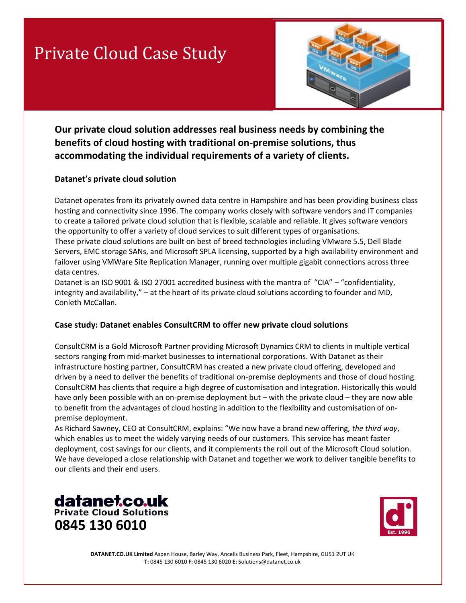# Private Cloud Case Study



**Our private cloud solution addresses real business needs by combining the benefits of cloud hosting with traditional on-premise solutions, thus accommodating the individual requirements of a variety of clients.**

#### **Datanet's private cloud solution**

Datanet operates from its privately owned data centre in Hampshire and has been providing business class hosting and connectivity since 1996. The company works closely with software vendors and IT companies to create a tailored private cloud solution that is flexible, scalable and reliable. It gives software vendors the opportunity to offer a variety of cloud services to suit different types of organisations. These private cloud solutions are built on best of breed technologies including VMware 5.5, Dell Blade Servers, EMC storage SANs, and Microsoft SPLA licensing, supported by a high availability environment and

failover using VMWare Site Replication Manager, running over multiple gigabit connections across three data centres.

Datanet is an ISO 9001 & ISO 27001 accredited business with the mantra of "CIA" – "confidentiality, integrity and availability," – at the heart of its private cloud solutions according to founder and MD, Conleth McCallan.

#### **Case study: Datanet enables ConsultCRM to offer new private cloud solutions**

ConsultCRM is a Gold Microsoft Partner providing Microsoft Dynamics CRM to clients in multiple vertical sectors ranging from mid-market businesses to international corporations. With Datanet as their infrastructure hosting partner, ConsultCRM has created a new private cloud offering, developed and driven by a need to deliver the benefits of traditional on-premise deployments and those of cloud hosting. ConsultCRM has clients that require a high degree of customisation and integration. Historically this would have only been possible with an on-premise deployment but – with the private cloud – they are now able to benefit from the advantages of cloud hosting in addition to the flexibility and customisation of onpremise deployment.

As Richard Sawney, CEO at ConsultCRM, explains: "We now have a brand new offering, *the third way*, which enables us to meet the widely varying needs of our customers. This service has meant faster deployment, cost savings for our clients, and it complements the roll out of the Microsoft Cloud solution. We have developed a close relationship with Datanet and together we work to deliver tangible benefits to our clients and their end users.





**DATANET.CO.UK Limited** Aspen House, Barley Way, Ancells Business Park, Fleet, Hampshire, GU51 2UT UK **T:** 0845 130 6010 **F:** 0845 130 6020 **E:** Solutions@datanet.co.uk